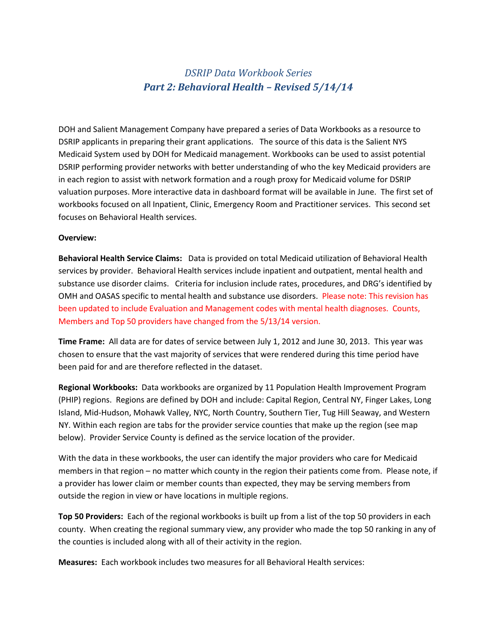## *DSRIP Data Workbook Series Part 2: Behavioral Health – Revised 5/14/14*

DOH and Salient Management Company have prepared a series of Data Workbooks as a resource to DSRIP applicants in preparing their grant applications. The source of this data is the Salient NYS Medicaid System used by DOH for Medicaid management. Workbooks can be used to assist potential DSRIP performing provider networks with better understanding of who the key Medicaid providers are in each region to assist with network formation and a rough proxy for Medicaid volume for DSRIP valuation purposes. More interactive data in dashboard format will be available in June. The first set of workbooks focused on all Inpatient, Clinic, Emergency Room and Practitioner services. This second set focuses on Behavioral Health services.

## **Overview:**

**Behavioral Health Service Claims:** Data is provided on total Medicaid utilization of Behavioral Health services by provider. Behavioral Health services include inpatient and outpatient, mental health and substance use disorder claims. Criteria for inclusion include rates, procedures, and DRG's identified by OMH and OASAS specific to mental health and substance use disorders. Please note: This revision has been updated to include Evaluation and Management codes with mental health diagnoses. Counts, Members and Top 50 providers have changed from the 5/13/14 version.

**Time Frame:** All data are for dates of service between July 1, 2012 and June 30, 2013. This year was chosen to ensure that the vast majority of services that were rendered during this time period have been paid for and are therefore reflected in the dataset.

**Regional Workbooks:** Data workbooks are organized by 11 Population Health Improvement Program (PHIP) regions. Regions are defined by DOH and include: Capital Region, Central NY, Finger Lakes, Long Island, Mid-Hudson, Mohawk Valley, NYC, North Country, Southern Tier, Tug Hill Seaway, and Western NY. Within each region are tabs for the provider service counties that make up the region (see map below). Provider Service County is defined as the service location of the provider.

With the data in these workbooks, the user can identify the major providers who care for Medicaid members in that region – no matter which county in the region their patients come from. Please note, if a provider has lower claim or member counts than expected, they may be serving members from outside the region in view or have locations in multiple regions.

**Top 50 Providers:** Each of the regional workbooks is built up from a list of the top 50 providers in each county. When creating the regional summary view, any provider who made the top 50 ranking in any of the counties is included along with all of their activity in the region.

**Measures:** Each workbook includes two measures for all Behavioral Health services: